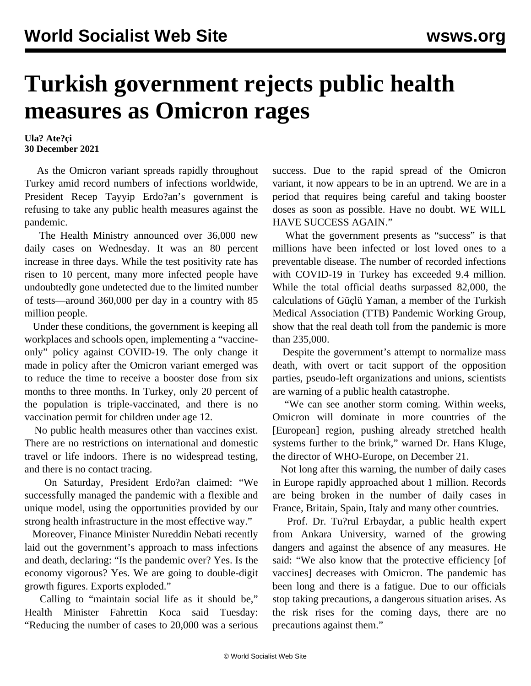## **Turkish government rejects public health measures as Omicron rages**

**Ula? Ate?çi 30 December 2021**

 As the Omicron variant spreads rapidly throughout Turkey amid record numbers of infections worldwide, President Recep Tayyip Erdo?an's government is refusing to take any public health measures against the pandemic.

 The Health Ministry announced over 36,000 new daily cases on Wednesday. It was an 80 percent increase in three days. While the test positivity rate has risen to 10 percent, many more infected people have undoubtedly gone undetected due to the limited number of tests—around 360,000 per day in a country with 85 million people.

 Under these conditions, the government is keeping all workplaces and schools open, implementing a "vaccineonly" policy against COVID-19. The only change it made in policy after the Omicron variant emerged was to reduce the time to receive a booster dose from six months to three months. In Turkey, only 20 percent of the population is triple-vaccinated, and there is no vaccination permit for children under age 12.

 No public health measures other than vaccines exist. There are no restrictions on international and domestic travel or life indoors. There is no widespread testing, and there is no contact tracing.

 On Saturday, President Erdo?an claimed: "We successfully managed the pandemic with a flexible and unique model, using the opportunities provided by our strong health infrastructure in the most effective way."

 Moreover, Finance Minister Nureddin Nebati recently laid out the government's approach to mass infections and death, declaring: "Is the pandemic over? Yes. Is the economy vigorous? Yes. We are going to double-digit growth figures. Exports exploded."

 Calling to "maintain social life as it should be," Health Minister Fahrettin Koca said Tuesday: "Reducing the number of cases to 20,000 was a serious success. Due to the rapid spread of the Omicron variant, it now appears to be in an uptrend. We are in a period that requires being careful and taking booster doses as soon as possible. Have no doubt. WE WILL HAVE SUCCESS AGAIN."

What the government presents as "success" is that millions have been infected or lost loved ones to a preventable disease. The number of recorded infections with COVID-19 in Turkey has exceeded 9.4 million. While the total official deaths surpassed 82,000, the calculations of Güçlü Yaman, a member of the Turkish Medical Association (TTB) Pandemic Working Group, show that the real death toll from the pandemic is more than 235,000.

 Despite the government's attempt to normalize mass death, with overt or tacit support of the opposition parties, pseudo-left organizations and unions, scientists are warning of a public health catastrophe.

 "We can see another storm coming. Within weeks, Omicron will dominate in more countries of the [European] region, pushing already stretched health systems further to the brink," warned Dr. Hans Kluge, the director of WHO-Europe, on December 21.

 Not long after this warning, the number of daily cases in Europe rapidly approached about 1 million. Records are being broken in the number of daily cases in France, Britain, Spain, Italy and many other countries.

 Prof. Dr. Tu?rul Erbaydar, a public health expert from Ankara University, warned of the growing dangers and against the absence of any measures. He said: "We also know that the protective efficiency [of vaccines] decreases with Omicron. The pandemic has been long and there is a fatigue. Due to our officials stop taking precautions, a dangerous situation arises. As the risk rises for the coming days, there are no precautions against them."